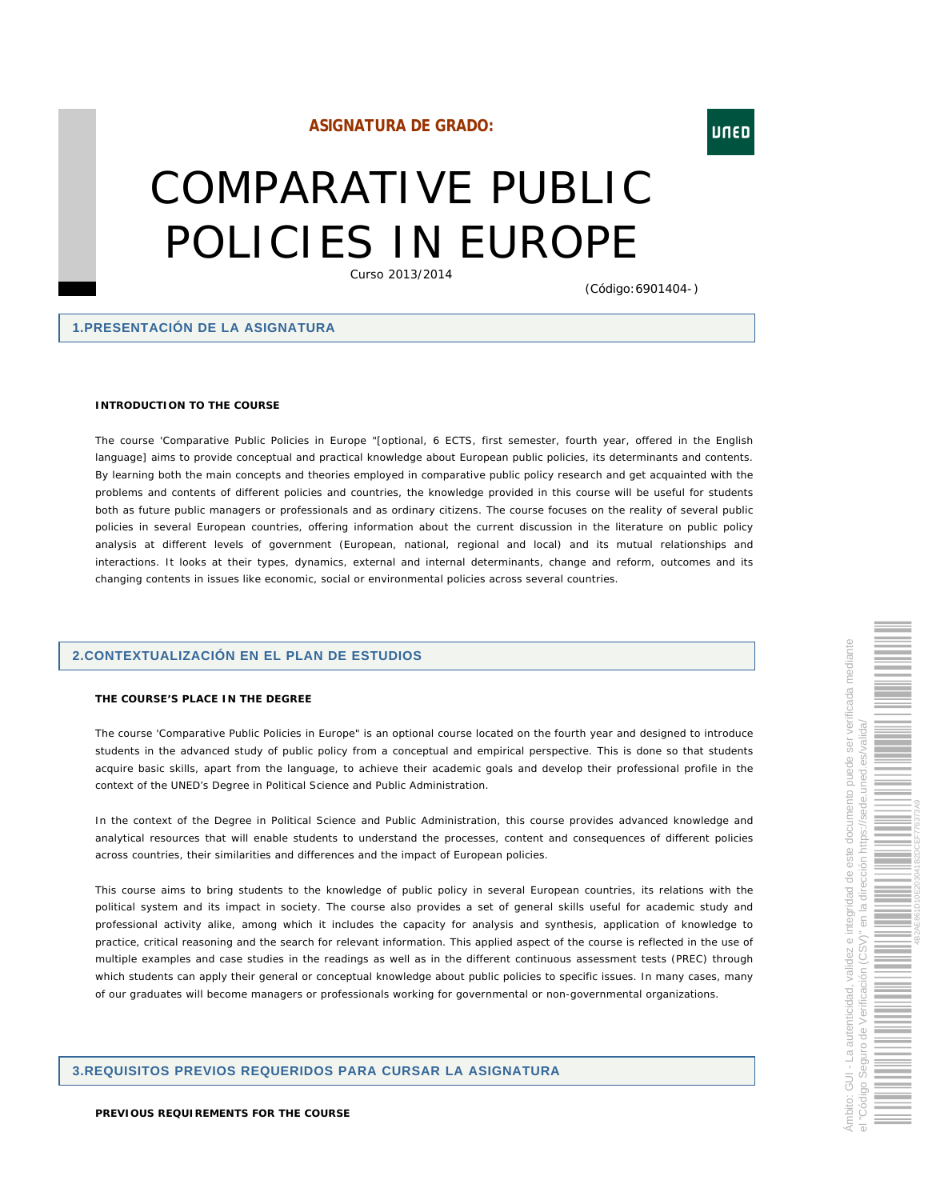# **ASIGNATURA DE GRADO:**

# COMPARATIVE PUBLIC POLICIES IN EUROPE

Curso 2013/2014

(Código:6901404-)

## **1.PRESENTACIÓN DE LA ASIGNATURA**

**INTRODUCTION TO THE COURSE**

The course 'Comparative Public Policies in Europe "[optional, 6 ECTS, first semester, fourth year, offered in the English language] aims to provide conceptual and practical knowledge about European public policies, its determinants and contents. By learning both the main concepts and theories employed in comparative public policy research and get acquainted with the problems and contents of different policies and countries, the knowledge provided in this course will be useful for students both as future public managers or professionals and as ordinary citizens. The course focuses on the reality of several public policies in several European countries, offering information about the current discussion in the literature on public policy analysis at different levels of government (European, national, regional and local) and its mutual relationships and interactions. It looks at their types, dynamics, external and internal determinants, change and reform, outcomes and its changing contents in issues like economic, social or environmental policies across several countries.

## **2.CONTEXTUALIZACIÓN EN EL PLAN DE ESTUDIOS**

#### **THE COURSE'S PLACE IN THE DEGREE**

The course 'Comparative Public Policies in Europe" is an optional course located on the fourth year and designed to introduce students in the advanced study of public policy from a conceptual and empirical perspective. This is done so that students acquire basic skills, apart from the language, to achieve their academic goals and develop their professional profile in the context of the UNED's Degree in Political Science and Public Administration.

In the context of the Degree in Political Science and Public Administration, this course provides advanced knowledge and analytical resources that will enable students to understand the processes, content and consequences of different policies across countries, their similarities and differences and the impact of European policies.

This course aims to bring students to the knowledge of public policy in several European countries, its relations with the political system and its impact in society. The course also provides a set of general skills useful for academic study and professional activity alike, among which it includes the capacity for analysis and synthesis, application of knowledge to practice, critical reasoning and the search for relevant information. This applied aspect of the course is reflected in the use of multiple examples and case studies in the readings as well as in the different continuous assessment tests (PREC) through which students can apply their general or conceptual knowledge about public policies to specific issues. In many cases, many of our graduates will become managers or professionals working for governmental or non-governmental organizations.

## **3.REQUISITOS PREVIOS REQUERIDOS PARA CURSAR LA ASIGNATURA**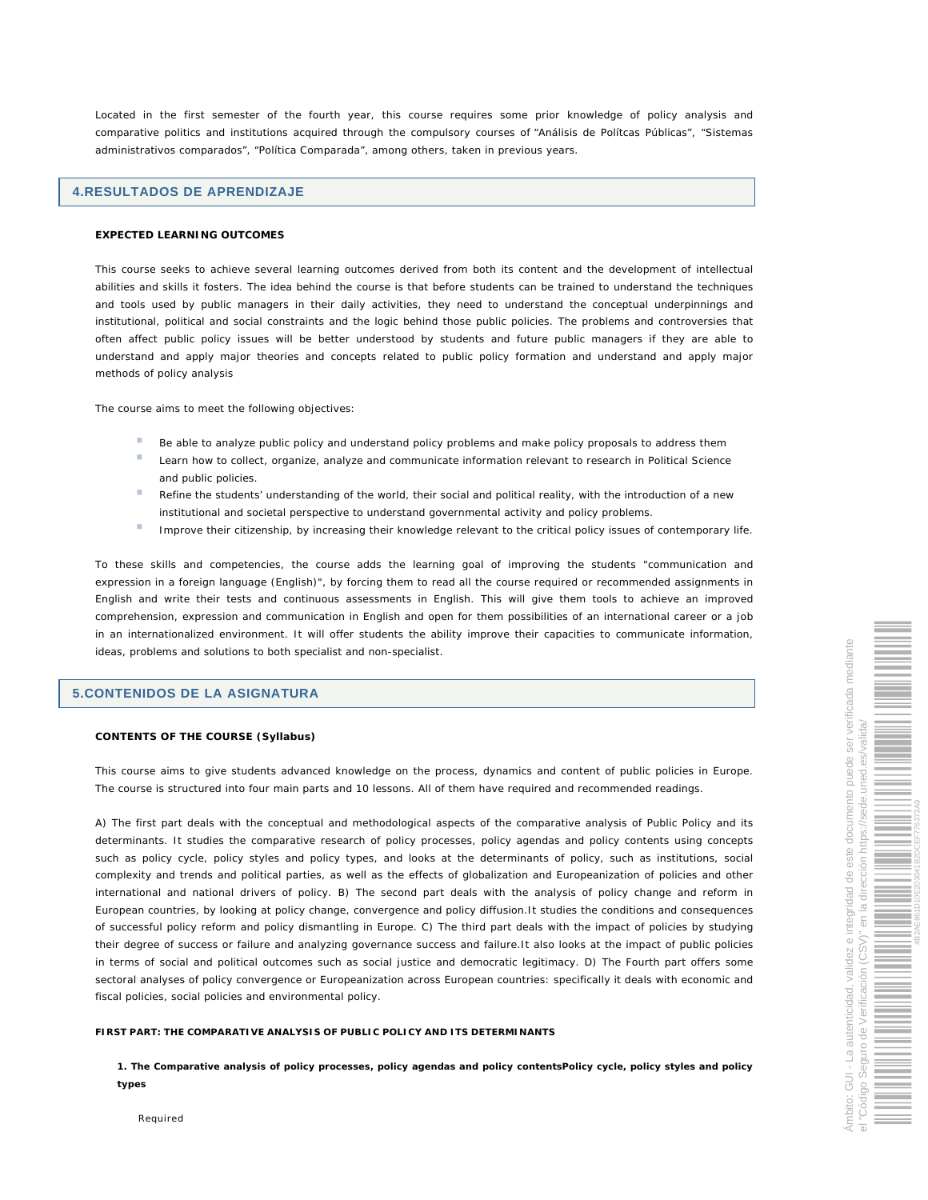Located in the first semester of the fourth year, this course requires some prior knowledge of policy analysis and comparative politics and institutions acquired through the compulsory courses of "Análisis de Polítcas Públicas", "Sistemas administrativos comparados", "Política Comparada", among others, taken in previous years.

## **4.RESULTADOS DE APRENDIZAJE**

#### **EXPECTED LEARNING OUTCOMES**

This course seeks to achieve several learning outcomes derived from both its content and the development of intellectual abilities and skills it fosters. The idea behind the course is that before students can be trained to understand the techniques and tools used by public managers in their daily activities, they need to understand the conceptual underpinnings and institutional, political and social constraints and the logic behind those public policies. The problems and controversies that often affect public policy issues will be better understood by students and future public managers if they are able to understand and apply major theories and concepts related to public policy formation and understand and apply major methods of policy analysis

The course aims to meet the following objectives:

- Be able to analyze public policy and understand policy problems and make policy proposals to address them
- × Learn how to collect, organize, analyze and communicate information relevant to research in Political Science and public policies.
- a. Refine the students' understanding of the world, their social and political reality, with the introduction of a new institutional and societal perspective to understand governmental activity and policy problems.
- Improve their citizenship, by increasing their knowledge relevant to the critical policy issues of contemporary life.

To these skills and competencies, the course adds the learning goal of improving the students "communication and expression in a foreign language (English)", by forcing them to read all the course required or recommended assignments in English and write their tests and continuous assessments in English. This will give them tools to achieve an improved comprehension, expression and communication in English and open for them possibilities of an international career or a job in an internationalized environment. It will offer students the ability improve their capacities to communicate information, ideas, problems and solutions to both specialist and non-specialist.

## **5.CONTENIDOS DE LA ASIGNATURA**

#### **CONTENTS OF THE COURSE (Syllabus)**

This course aims to give students advanced knowledge on the process, dynamics and content of public policies in Europe. The course is structured into four main parts and 10 lessons. All of them have required and recommended readings.

A) The first part deals with the conceptual and methodological aspects of the comparative analysis of Public Policy and its determinants. It studies the comparative research of policy processes, policy agendas and policy contents using concepts such as policy cycle, policy styles and policy types, and looks at the determinants of policy, such as institutions, social complexity and trends and political parties, as well as the effects of globalization and Europeanization of policies and other international and national drivers of policy. B) The second part deals with the analysis of policy change and reform in European countries, by looking at policy change, convergence and policy diffusion.It studies the conditions and consequences of successful policy reform and policy dismantling in Europe. C) The third part deals with the impact of policies by studying their degree of success or failure and analyzing governance success and failure.It also looks at the impact of public policies in terms of social and political outcomes such as social justice and democratic legitimacy. D) The Fourth part offers some sectoral analyses of policy convergence or Europeanization across European countries: specifically it deals with economic and fiscal policies, social policies and environmental policy.

**FIRST PART: THE COMPARATIVE ANALYSIS OF PUBLIC POLICY AND ITS DETERMINANTS** 

**1. The Comparative analysis of policy processes, policy agendas and policy contentsPolicy cycle, policy styles and policy types**

Required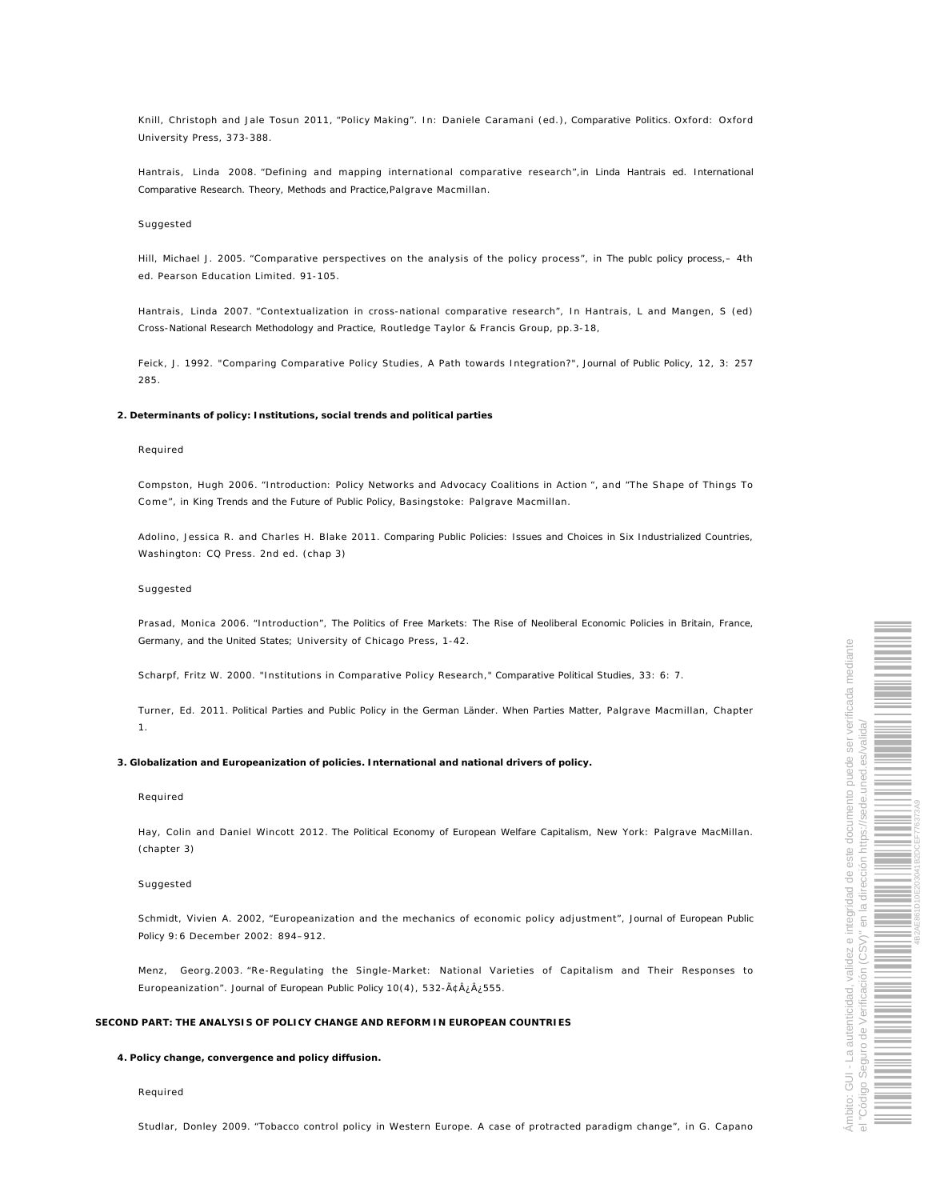Knill, Christoph and Jale Tosun 2011, "Policy Making". In: Daniele Caramani (ed.), *Comparative Politics.* Oxford: Oxford University Press, 373-388.

Hantrais, Linda 2008. "Defining and mapping international comparative research",*in Linda Hantrais ed. International Comparative Research. Theory, Methods and Practice,*Palgrave Macmillan.

#### Suggested

Hill, Michael J. 2005. "Comparative perspectives on the analysis of the policy process", in *The publc policy process*,– 4th ed. Pearson Education Limited. 91-105.

Hantrais, Linda 2007. "Contextualization in cross-national comparative research", In Hantrais, L and Mangen, S (ed) *Cross-National Research Methodology and Practice*, Routledge Taylor & Francis Group, pp.3-18,

Feick, J. 1992. "Comparing Comparative Policy Studies, A Path towards Integration?", *Journal of Public Policy*, 12, 3: 257 285.

**2. Determinants of policy: Institutions, social trends and political parties**

#### Required

Compston, Hugh 2006. "Introduction: Policy Networks and Advocacy Coalitions in Action ", and "The Shape of Things To Come", in *King Trends and the Future of Public Policy,* Basingstoke: Palgrave Macmillan.

Adolino, Jessica R. and Charles H. Blake 2011. *Comparing Public Policies: Issues and Choices in Six Industrialized Countries,* Washington: CQ Press. 2nd ed. (chap 3)

#### Suggested

Prasad, Monica 2006. "Introduction", *The Politics of Free Markets: The Rise of Neoliberal Economic Policies in Britain, France, Germany, and the United States*; University of Chicago Press, 1-42.

Scharpf, Fritz W. 2000. "Institutions in Comparative Policy Research," *Comparative Political Studies*, 33: 6: 7.

Turner, Ed. 2011. *Political Parties and Public Policy in the German Länder. When Parties Matter*, Palgrave Macmillan, Chapter 1.

**3. Globalization and Europeanization of policies. International and national drivers of policy.**

#### Required

Hay, Colin and Daniel Wincott 2012. *The Political Economy of European Welfare Capitalism*, New York: Palgrave MacMillan. (chapter 3)

## Suggested

Schmidt, Vivien A. 2002, "Europeanization and the mechanics of economic policy adjustment", *Journal of European Public Policy* 9:6 December 2002: 894–912.

Menz, Georg.2003. "Re-Regulating the Single-Market: National Varieties of Capitalism and Their Responses to Europeanization". *Journal of European Public Policy* 10(4), 532-â¿¿555.

#### **SECOND PART: THE ANALYSIS OF POLICY CHANGE AND REFORM IN EUROPEAN COUNTRIES**

**4. Policy change, convergence and policy diffusion.**

## Required

Studlar, Donley 2009. "Tobacco control policy in Western Europe. A case of protracted paradigm change", in G. Capano

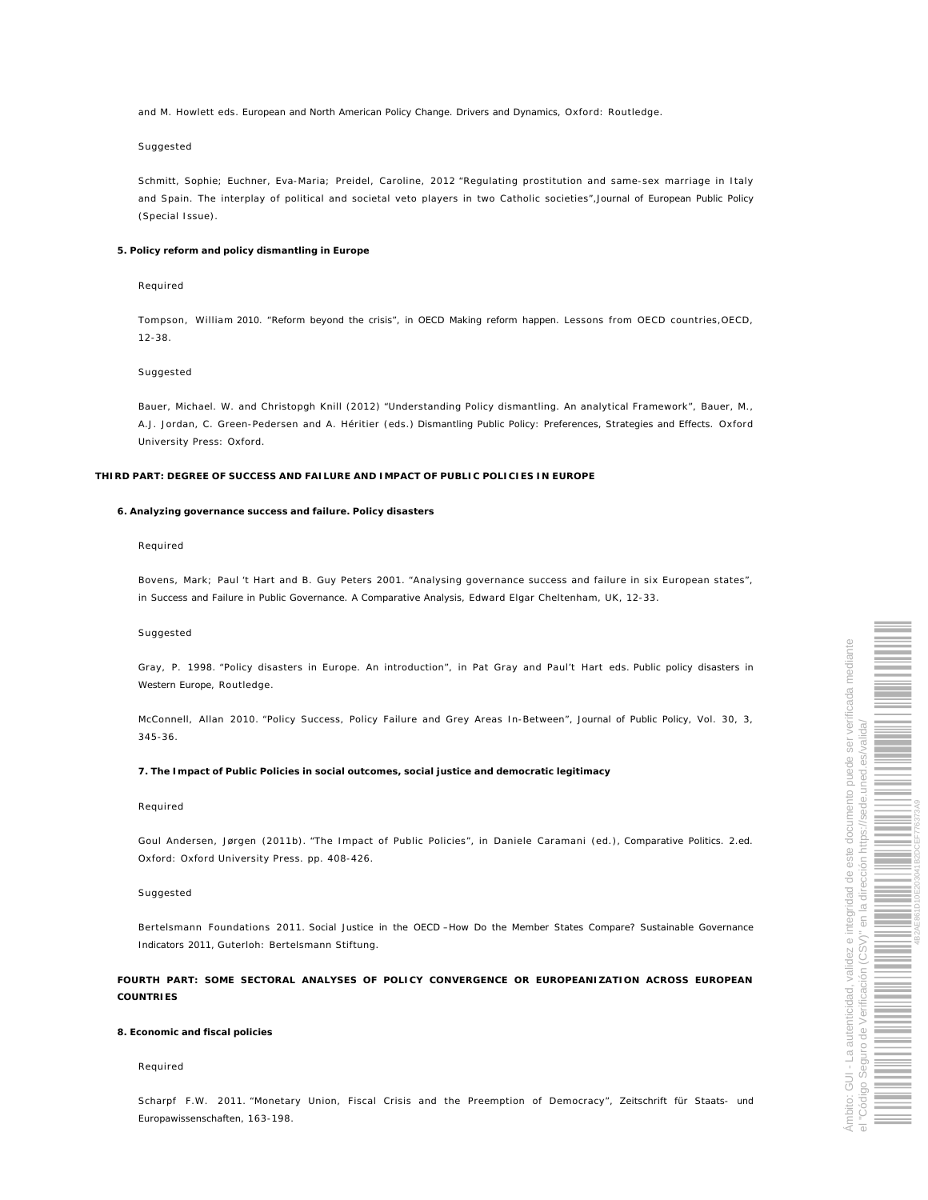and M. Howlett eds. *European and North American Policy Change. Drivers and Dynamics*, Oxford: Routledge.

#### Suggested

Schmitt, Sophie; Euchner, Eva-Maria; Preidel, Caroline, 2012 "Regulating prostitution and same-sex marriage in Italy and Spain. The interplay of political and societal veto players in two Catholic societies",*Journal of European Public Policy (*Special Issue).

#### **5. Policy reform and policy dismantling in Europe**

#### Required

Tompson, William *2010. "Reform beyond the crisis", in OECD Making reform happen.* Lessons from OECD countries,OECD, 12-38.

#### Suggested

Bauer, Michael. W. and Christopgh Knill (2012) "Understanding Policy dismantling. An analytical Framework", Bauer, M., A.J. Jordan, C. Green-Pedersen and A. Héritier (eds.) *Dismantling Public Policy: Preferences, Strategies and Effects*. Oxford University Press: Oxford.

**THIRD PART: DEGREE OF SUCCESS AND FAILURE AND IMPACT OF PUBLIC POLICIES IN EUROPE**

#### **6. Analyzing governance success and failure. Policy disasters**

#### Required

Bovens, Mark; Paul 't Hart and B. Guy Peters 2001. "Analysing governance success and failure in six European states", in *Success and Failure in Public Governance. A Comparative Analysis*, Edward Elgar Cheltenham, UK, 12-33.

#### Suggested

Gray, P. 1998. "Policy disasters in Europe. An introduction", in Pat Gray and Paul't Hart eds. *Public policy disasters in Western Europe*, Routledge.

McConnell, Allan 2010. "Policy Success, Policy Failure and Grey Areas In-Between", *Journal of Public Policy,* Vol. 30, 3, 345-36.

**7. The Impact of Public Policies in social outcomes, social justice and democratic legitimacy**

#### Required

Goul Andersen, Jørgen (2011b). "The Impact of Public Policies", in Daniele Caramani (ed.), *Comparative Politics. 2.ed.* Oxford: Oxford University Press. pp. 408-426.

#### Suggested

Bertelsmann Foundations 2011. *Social Justice in the OECD –How Do the Member States Compare? Sustainable Governance Indicators 2011,* Guterloh: Bertelsmann Stiftung.

**FOURTH PART: SOME SECTORAL ANALYSES OF POLICY CONVERGENCE OR EUROPEANIZATION ACROSS EUROPEAN COUNTRIES** 

#### **8. Economic and fiscal policies**

#### Required

Scharpf F.W. 2011. "Monetary Union, Fiscal Crisis and the Preemption of Democracy", *Zeitschrift für Staats- und Europawissenschaften,* 163-198.

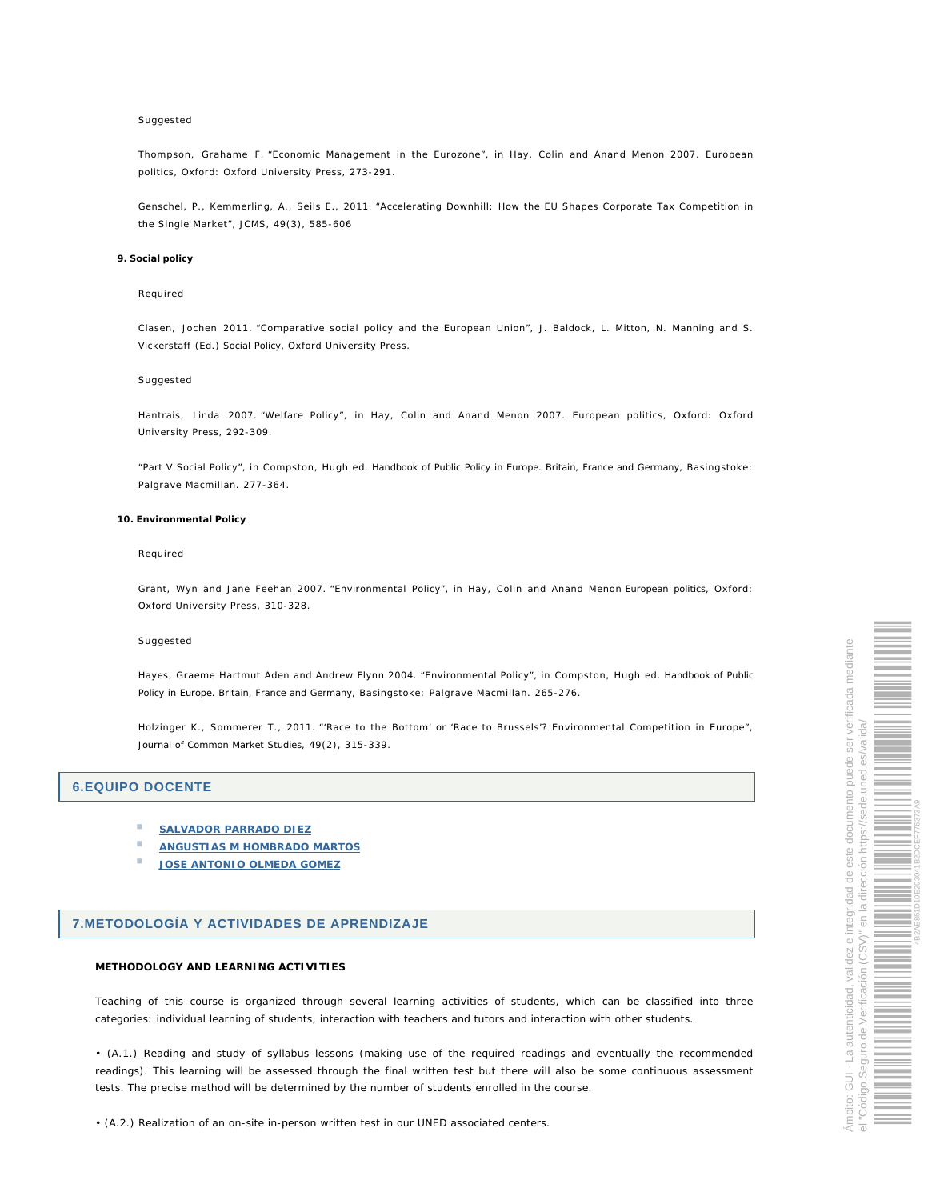#### Suggested

Thompson, Grahame F. "Economic Management in the Eurozone", in Hay, Colin and Anand Menon 2007. European politics, Oxford: Oxford University Press, 273-291.

Genschel, P., Kemmerling, A., Seils E., 2011. "Accelerating Downhill: How the EU Shapes Corporate Tax Competition in the Single Market", JCMS, 49(3), 585-606

#### **9. Social policy**

#### Required

Clasen, Jochen 2011. "Comparative social policy and the European Union", J. Baldock, L. Mitton, N. Manning and S. Vickerstaff (Ed.) *Social Policy,* Oxford University Press.

#### Suggested

Hantrais, Linda 2007. "Welfare Policy", in Hay, Colin and Anand Menon 2007. European politics, Oxford: Oxford University Press, 292-309.

"Part V Social Policy", in Compston, Hugh ed. *Handbook of Public Policy in Europe. Britain, France and Germany,* Basingstoke: Palgrave Macmillan. 277-364.

#### **10. Environmental Policy**

#### Required

Grant, Wyn and Jane Feehan 2007. "Environmental Policy", in Hay, Colin and Anand Menon *European politics*, Oxford: Oxford University Press, 310-328.

#### Suggested

Hayes, Graeme Hartmut Aden and Andrew Flynn 2004. "Environmental Policy", in Compston, Hugh ed. *Handbook of Public Policy in Europe. Britain, France and Germany*, Basingstoke: Palgrave Macmillan. 265-276.

Holzinger K., Sommerer T., 2011. "'Race to the Bottom' or 'Race to Brussels'? Environmental Competition in Europe", *Journal of Common Market Studies*, 49(2), 315-339.

## **6.EQUIPO DOCENTE**

- × **SALVADOR PARRADO DIEZ**
- ×, **ANGUSTIAS M HOMBRADO MARTOS**
- **JOSE ANTONIO OLMEDA GOMEZ**

# **7.METODOLOGÍA Y ACTIVIDADES DE APRENDIZAJE**

#### **METHODOLOGY AND LEARNING ACTIVITIES**

Teaching of this course is organized through several learning activities of students, which can be classified into three categories: individual learning of students, interaction with teachers and tutors and interaction with other students.

• (A.1.) Reading and study of syllabus lessons (making use of the required readings and eventually the recommended readings). This learning will be assessed through the final written test but there will also be some continuous assessment tests. The precise method will be determined by the number of students enrolled in the course.

• (A.2.) Realization of an on-site in-person written test in our UNED associated centers.

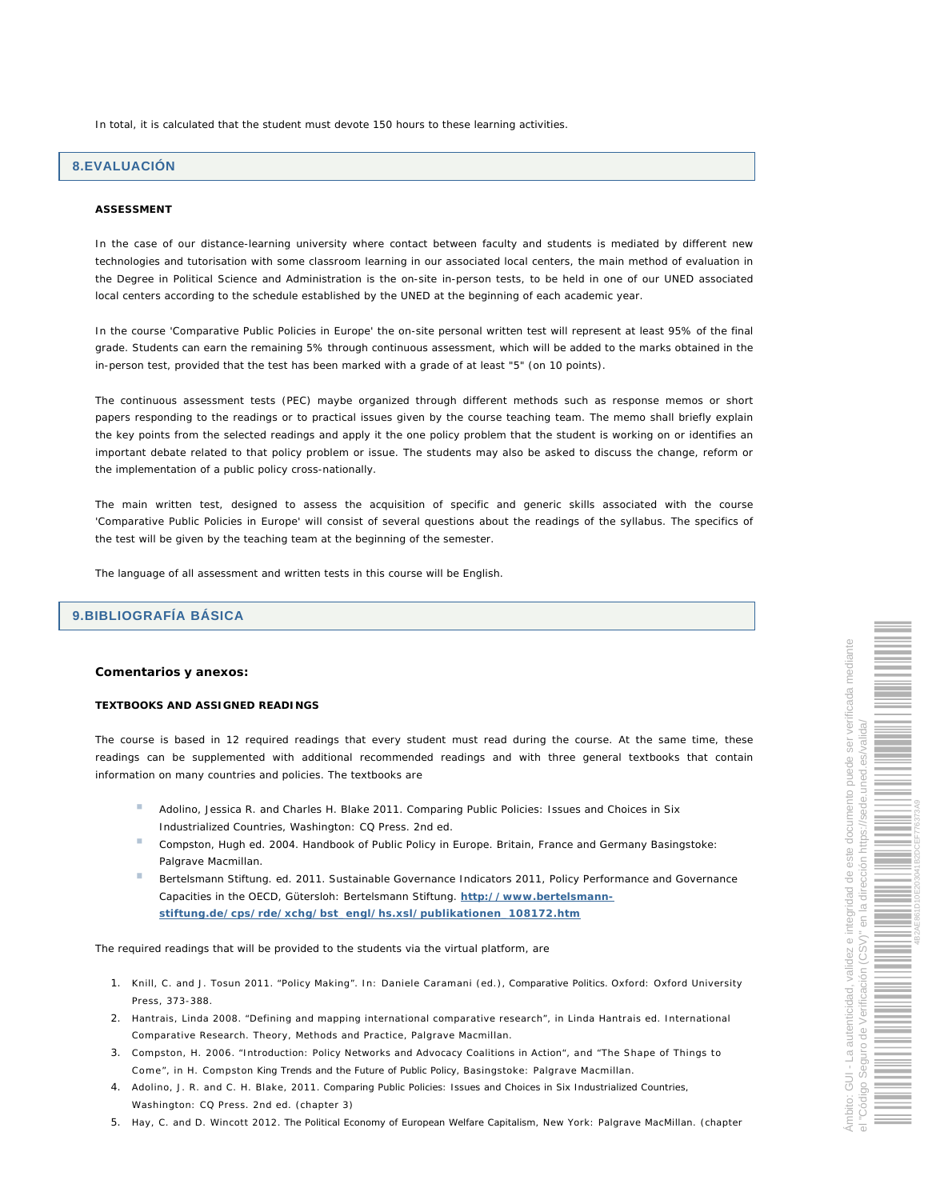In total, it is calculated that the student must devote 150 hours to these learning activities.

## **8.EVALUACIÓN**

#### **ASSESSMENT**

In the case of our distance-learning university where contact between faculty and students is mediated by different new technologies and tutorisation with some classroom learning in our associated local centers, the main method of evaluation in the Degree in Political Science and Administration is the on-site in-person tests, to be held in one of our UNED associated local centers according to the schedule established by the UNED at the beginning of each academic year.

In the course 'Comparative Public Policies in Europe' the on-site personal written test will represent at least 95% of the final grade. Students can earn the remaining 5% through continuous assessment, which will be added to the marks obtained in the in-person test, provided that the test has been marked with a grade of at least "5" (on 10 points).

The continuous assessment tests (PEC) maybe organized through different methods such as response memos or short papers responding to the readings or to practical issues given by the course teaching team. The memo shall briefly explain the key points from the selected readings and apply it the one policy problem that the student is working on or identifies an important debate related to that policy problem or issue. The students may also be asked to discuss the change, reform or the implementation of a public policy cross-nationally.

The main written test, designed to assess the acquisition of specific and generic skills associated with the course 'Comparative Public Policies in Europe' will consist of several questions about the readings of the syllabus. The specifics of the test will be given by the teaching team at the beginning of the semester.

The language of all assessment and written tests in this course will be English.

# **9.BIBLIOGRAFÍA BÁSICA**

**Comentarios y anexos:**

**TEXTBOOKS AND ASSIGNED READINGS**

The course is based in 12 required readings that every student must read during the course. At the same time, these readings can be supplemented with additional recommended readings and with three general textbooks that contain information on many countries and policies. The textbooks are

- Adolino, Jessica R. and Charles H. Blake 2011. *Comparing Public Policies: Issues and Choices in Six Industrialized Countries*, Washington: CQ Press. 2nd ed.
- Compston, Hugh ed. 2004. *Handbook of Public Policy in Europe. Britain, France and Germany* Basingstoke: Palgrave Macmillan.
- Bertelsmann Stiftung. ed. 2011. *Sustainable Governance Indicators 2011, Policy Performance and Governance Capacities in the OECD*, Gütersloh: Bertelsmann Stiftung. **http://www.bertelsmannstiftung.de/cps/rde/xchg/bst\_engl/hs.xsl/publikationen\_108172.htm**

The required readings that will be provided to the students via the virtual platform, are

- 1. Knill, C. and J. Tosun 2011. "Policy Making". In: Daniele Caramani (ed.), *Comparative Politics.* Oxford: Oxford University Press, 373-388.
- 2. Hantrais, Linda 2008. "Defining and mapping international comparative research", in Linda Hantrais ed. International Comparative Research. Theory, Methods and Practice, Palgrave Macmillan.
- 3. Compston, H. 2006. "Introduction: Policy Networks and Advocacy Coalitions in Action", and "The Shape of Things to Come", in H. Compston *King Trends and the Future of Public Policy,* Basingstoke: Palgrave Macmillan.
- 4. Adolino, J. R. and C. H. Blake, 2011. *Comparing Public Policies: Issues and Choices in Six Industrialized Countries*, Washington: CQ Press. 2nd ed. (chapter 3)
- 5. Hay, C. and D. Wincott 2012. *The Political Economy of European Welfare Capitalism*, New York: Palgrave MacMillan. (chapter

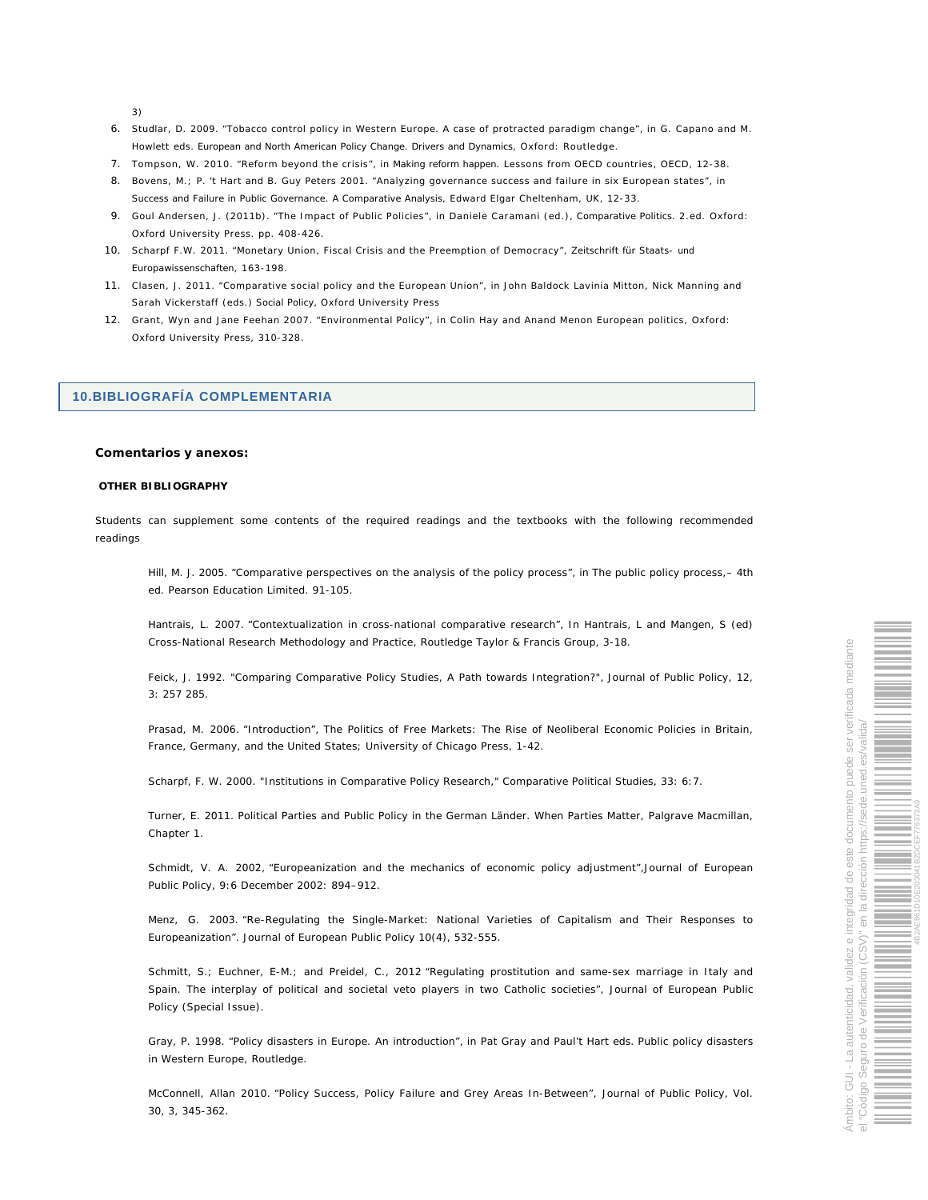3)

- 6. Studlar, D. 2009. "Tobacco control policy in Western Europe. A case of protracted paradigm change", in G. Capano and M. Howlett eds. *European and North American Policy Change. Drivers and Dynamics*, Oxford: Routledge.
- 7. Tompson, W. 2010. "Reform beyond the crisis", in *Making reform happen*. Lessons from OECD countries, OECD, 12-38.
- 8. Bovens, M.; P. 't Hart and B. Guy Peters 2001. "Analyzing governance success and failure in six European states", in *Success and Failure in Public Governance. A Comparative Analysis*, Edward Elgar Cheltenham, UK, 12-33.
- 9. Goul Andersen, J. (2011b). "The Impact of Public Policies", in Daniele Caramani (ed.), *Comparative Politics.* 2.ed. Oxford: Oxford University Press. pp. 408-426.
- 10. Scharpf F.W. 2011. "Monetary Union, Fiscal Crisis and the Preemption of Democracy", *Zeitschrift für Staats- und Europawissenschaften*, 163-198.
- 11. Clasen, J. 2011. "Comparative social policy and the European Union", in John Baldock Lavinia Mitton, Nick Manning and Sarah Vickerstaff (eds.) *Social Policy,* Oxford University Press
- 12. Grant, Wyn and Jane Feehan 2007. "Environmental Policy", in Colin Hay and Anand Menon European politics, Oxford: Oxford University Press, 310-328.

## **10.BIBLIOGRAFÍA COMPLEMENTARIA**

**Comentarios y anexos:**

**OTHER BIBLIOGRAPHY**

Students can supplement some contents of the required readings and the textbooks with the following recommended readings

Hill, M. J. 2005. "Comparative perspectives on the analysis of the policy process", in *The public policy process,*– 4th ed. Pearson Education Limited. 91-105.

Hantrais, L. 2007. "Contextualization in cross-national comparative research", In Hantrais, L and Mangen, S (ed) *Cross-National Research Methodology and Practice,* Routledge Taylor & Francis Group, 3-18.

Feick, J. 1992. "Comparing Comparative Policy Studies, A Path towards Integration?", *Journal of Public Policy*, 12, 3: 257 285.

Prasad, M. 2006. "Introduction", *The Politics of Free Markets: The Rise of Neoliberal Economic Policies in Britain, France, Germany, and the United States;* University of Chicago Press, 1-42.

Scharpf, F. W. 2000. "Institutions in Comparative Policy Research," *Comparative Political Studies*, 33: 6:7.

Turner, E. 2011. *Political Parties and Public Policy in the German Länder. When Parties Matter,* Palgrave Macmillan, Chapter 1.

Schmidt, V. A. 2002, "Europeanization and the mechanics of economic policy adjustment",*Journal of European Public Policy,* 9:6 December 2002: 894–912.

Menz, G. 2003. "Re-Regulating the Single-Market: National Varieties of Capitalism and Their Responses to Europeanization". *Journal of European Public Policy* 10(4), 532-555.

Schmitt, S.; Euchner, E-M.; and Preidel, C., 2012 "Regulating prostitution and same-sex marriage in Italy and Spain. The interplay of political and societal veto players in two Catholic societies", *Journal of European Public Policy* (Special Issue).

Gray, P. 1998. "Policy disasters in Europe. An introduction", in Pat Gray and Paul't Hart eds. *Public policy disasters in Western Europe*, Routledge.

McConnell, Allan 2010. "Policy Success, Policy Failure and Grey Areas In-Between", *Journal of Public Policy,* Vol. 30, 3, 345-362.

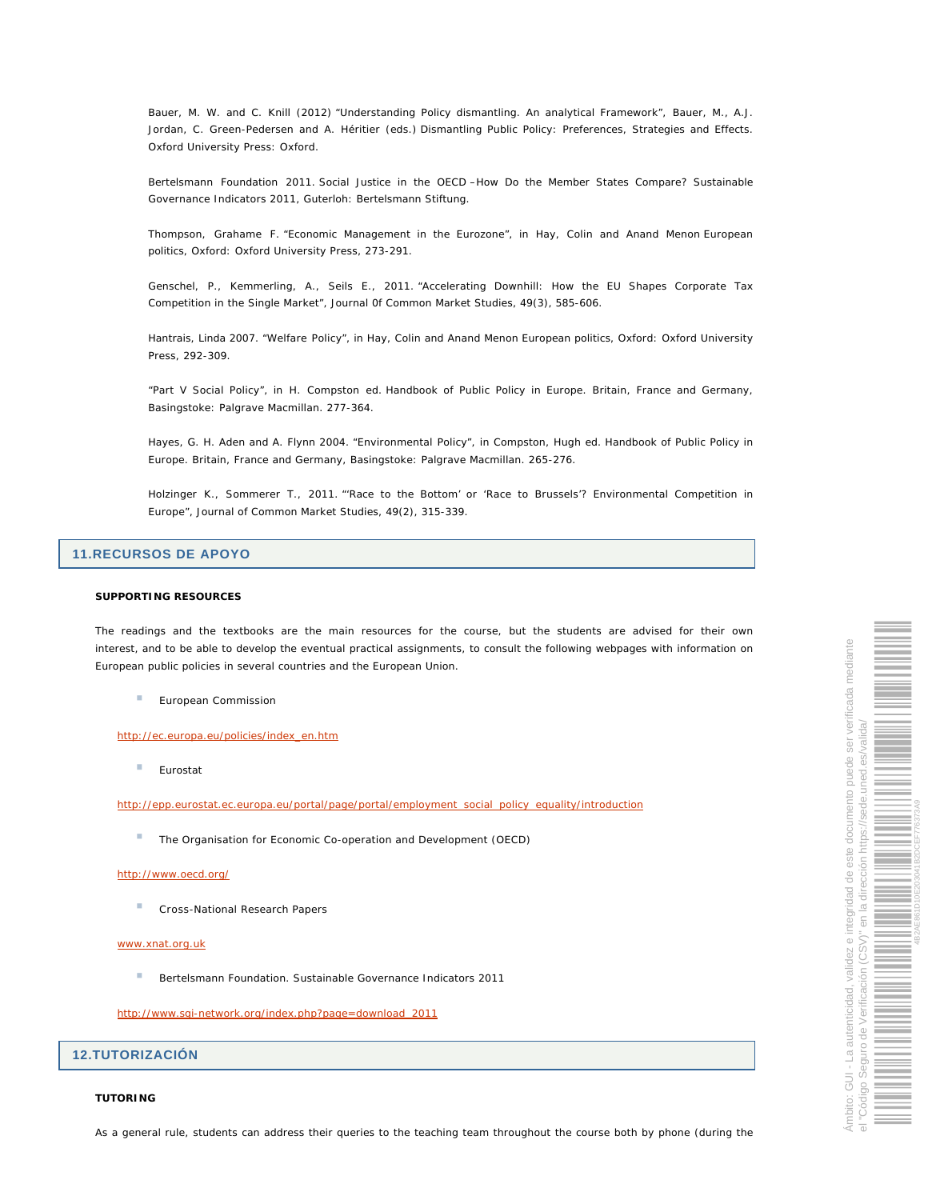Bauer, M. W. and C. Knill (2012) "Understanding Policy dismantling. An analytical Framework", Bauer, M., A.J. Jordan, C. Green-Pedersen and A. Héritier (eds.) *Dismantling Public Policy: Preferences, Strategies and Effects.*  Oxford University Press: Oxford.

Bertelsmann Foundation 2011. *Social Justice in the OECD –How Do the Member States Compare? Sustainable Governance Indicators 2011*, Guterloh: Bertelsmann Stiftung.

Thompson, Grahame F. "Economic Management in the Eurozone", in Hay, Colin and Anand Menon *European politics*, Oxford: Oxford University Press, 273-291.

Genschel, P., Kemmerling, A., Seils E., 2011. "Accelerating Downhill: How the EU Shapes Corporate Tax Competition in the Single Market", *Journal 0f Common Market Studies*, 49(3), 585-606.

Hantrais, Linda 2007. "Welfare Policy", in Hay, Colin and Anand Menon *European politics*, Oxford: Oxford University Press, 292-309.

"Part V Social Policy", in H. Compston ed. *Handbook of Public Policy in Europe. Britain, France and Germany,* Basingstoke: Palgrave Macmillan. 277-364.

Hayes, G. H. Aden and A. Flynn 2004. "Environmental Policy", in Compston, Hugh ed. *Handbook of Public Policy in Europe. Britain, France and Germany,* Basingstoke: Palgrave Macmillan. 265-276.

Holzinger K., Sommerer T., 2011. "'Race to the Bottom' or 'Race to Brussels'? Environmental Competition in Europe", *Journal of Common Market Studies*, 49(2), 315-339.

# **11.RECURSOS DE APOYO**

### **SUPPORTING RESOURCES**

The readings and the textbooks are the main resources for the course, but the students are advised for their own interest, and to be able to develop the eventual practical assignments, to consult the following webpages with information on European public policies in several countries and the European Union.

European Commission

http://ec.europa.eu/policies/index\_en.htm

à. Eurostat

http://epp.eurostat.ec.europa.eu/portal/page/portal/employment\_social\_policy\_equality/introduction

The Organisation for Economic Co-operation and Development (OECD)

#### http://www.oecd.org/

Cross-National Research Papers

#### www.xnat.org.uk

 $\mathcal{L}_{\mathcal{A}}$ Bertelsmann Foundation. Sustainable Governance Indicators 2011

http://www.sgi-network.org/index.php?page=download\_2011

## **12.TUTORIZACIÓN**

**TUTORING**

As a general rule, students can address their queries to the teaching team throughout the course both by phone (during the